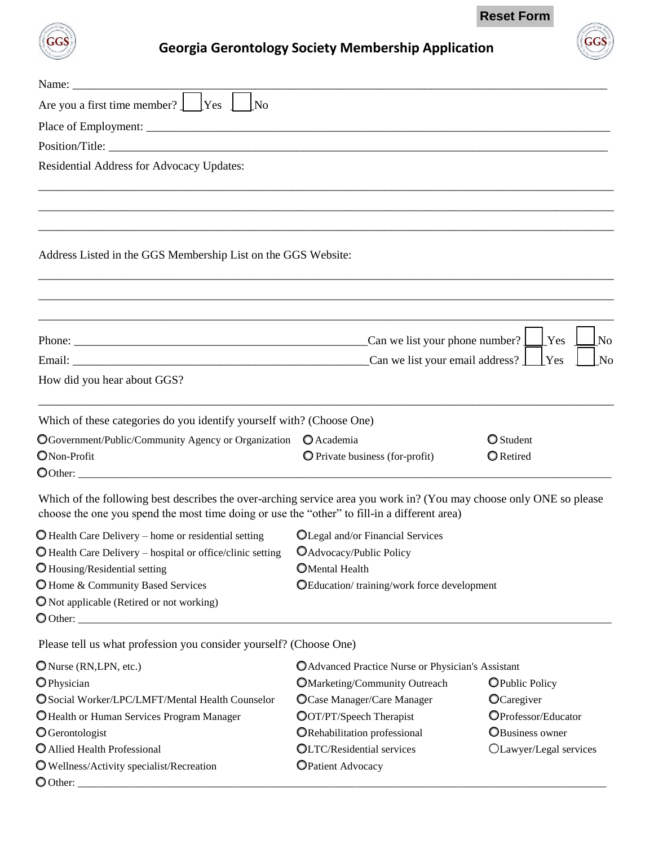**Reset Form**



## **Georgia Gerontology Society Membership Application**

| Name:                                                                                                                                                                                                               |                                                                               |                        |  |
|---------------------------------------------------------------------------------------------------------------------------------------------------------------------------------------------------------------------|-------------------------------------------------------------------------------|------------------------|--|
| Are you a first time member? $\Box$ Yes<br>l No                                                                                                                                                                     |                                                                               |                        |  |
|                                                                                                                                                                                                                     |                                                                               |                        |  |
|                                                                                                                                                                                                                     |                                                                               |                        |  |
| Residential Address for Advocacy Updates:                                                                                                                                                                           |                                                                               |                        |  |
|                                                                                                                                                                                                                     |                                                                               |                        |  |
|                                                                                                                                                                                                                     |                                                                               |                        |  |
|                                                                                                                                                                                                                     |                                                                               |                        |  |
|                                                                                                                                                                                                                     |                                                                               |                        |  |
| Address Listed in the GGS Membership List on the GGS Website:                                                                                                                                                       |                                                                               |                        |  |
|                                                                                                                                                                                                                     |                                                                               |                        |  |
|                                                                                                                                                                                                                     |                                                                               |                        |  |
|                                                                                                                                                                                                                     |                                                                               |                        |  |
|                                                                                                                                                                                                                     | $\text{\_}$ Can we list your phone number? $\lfloor$<br>Yes<br>N <sub>0</sub> |                        |  |
|                                                                                                                                                                                                                     | Can we list your email address?                                               | Yes<br>N <sub>0</sub>  |  |
| How did you hear about GGS?                                                                                                                                                                                         |                                                                               |                        |  |
| Which of these categories do you identify yourself with? (Choose One)                                                                                                                                               |                                                                               |                        |  |
| OGovernment/Public/Community Agency or Organization                                                                                                                                                                 | O Academia                                                                    | O Student              |  |
| ONon-Profit                                                                                                                                                                                                         | O Private business (for-profit)                                               | <b>O</b> Retired       |  |
|                                                                                                                                                                                                                     |                                                                               |                        |  |
| Which of the following best describes the over-arching service area you work in? (You may choose only ONE so please<br>choose the one you spend the most time doing or use the "other" to fill-in a different area) |                                                                               |                        |  |
| $\bullet$ Health Care Delivery – home or residential setting                                                                                                                                                        | OLegal and/or Financial Services                                              |                        |  |
| $\bullet$ Health Care Delivery – hospital or office/clinic setting                                                                                                                                                  | OAdvocacy/Public Policy                                                       |                        |  |
| O Housing/Residential setting                                                                                                                                                                                       | <b>OMental Health</b>                                                         |                        |  |
| O Home & Community Based Services                                                                                                                                                                                   | OEducation/training/work force development                                    |                        |  |
| O Not applicable (Retired or not working)                                                                                                                                                                           |                                                                               |                        |  |
| $\bigcirc$ Other:                                                                                                                                                                                                   |                                                                               |                        |  |
| Please tell us what profession you consider yourself? (Choose One)                                                                                                                                                  |                                                                               |                        |  |
| ONurse (RN, LPN, etc.)                                                                                                                                                                                              | O Advanced Practice Nurse or Physician's Assistant                            |                        |  |
| OPhysician                                                                                                                                                                                                          | <b>OMarketing/Community Outreach</b>                                          | <b>O</b> Public Policy |  |
| O Social Worker/LPC/LMFT/Mental Health Counselor                                                                                                                                                                    | OCase Manager/Care Manager                                                    | OCaregiver             |  |
| O Health or Human Services Program Manager                                                                                                                                                                          | <b>OOT/PT/Speech Therapist</b>                                                | OProfessor/Educator    |  |
| <b>O</b> Gerontologist                                                                                                                                                                                              | ORehabilitation professional                                                  | <b>OBusiness owner</b> |  |

O Wellness/Activity specialist/Recreation DPatient Advocacy

 $\bigcirc$  Other:

O Allied Health Professional **CLTC/Residential services** CLawyer/Legal services